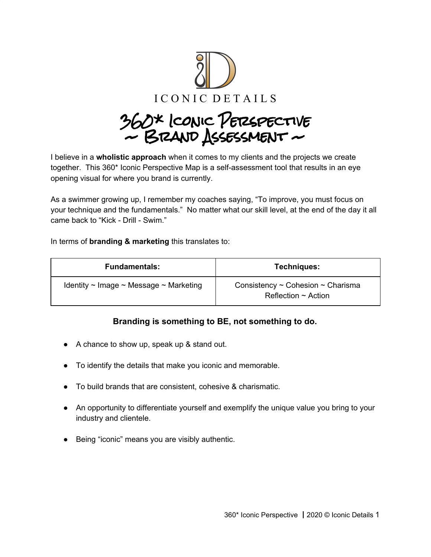

360\* Iconic Perspective  $\sim$  BRAND ASSESSMENT  $\sim$ 

I believe in a **wholistic approach** when it comes to my clients and the projects we create together. This 360\* Iconic Perspective Map is a self-assessment tool that results in an eye opening visual for where you brand is currently.

As a swimmer growing up, I remember my coaches saying, "To improve, you must focus on your technique and the fundamentals." No matter what our skill level, at the end of the day it all came back to "Kick - Drill - Swim."

In terms of **branding & marketing** this translates to:

| <b>Fundamentals:</b>                                  | Techniques:                                                             |
|-------------------------------------------------------|-------------------------------------------------------------------------|
| Identity $\sim$ Image $\sim$ Message $\sim$ Marketing | Consistency $\sim$ Cohesion $\sim$ Charisma<br>Reflection $\sim$ Action |

# **Branding is something to BE, not something to do.**

- A chance to show up, speak up & stand out.
- To identify the details that make you iconic and memorable.
- To build brands that are consistent, cohesive & charismatic.
- An opportunity to differentiate yourself and exemplify the unique value you bring to your industry and clientele.
- Being "iconic" means you are visibly authentic.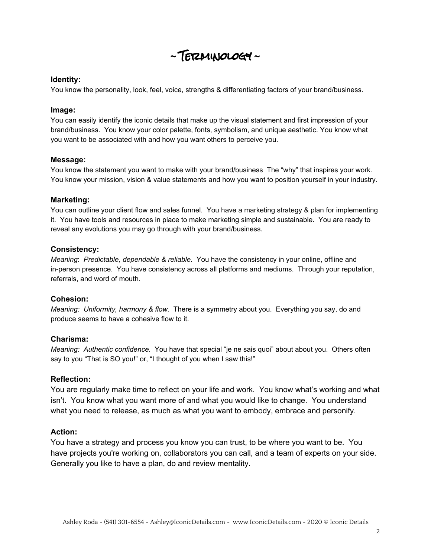**~** Terminology **~**

#### **Identity:**

You know the personality, look, feel, voice, strengths & differentiating factors of your brand/business.

#### **Image:**

You can easily identify the iconic details that make up the visual statement and first impression of your brand/business. You know your color palette, fonts, symbolism, and unique aesthetic. You know what you want to be associated with and how you want others to perceive you.

#### **Message:**

You know the statement you want to make with your brand/business The "why" that inspires your work. You know your mission, vision & value statements and how you want to position yourself in your industry.

#### **Marketing:**

You can outline your client flow and sales funnel. You have a marketing strategy & plan for implementing it. You have tools and resources in place to make marketing simple and sustainable. You are ready to reveal any evolutions you may go through with your brand/business.

#### **Consistency:**

*Meaning*: *Predictable, dependable & reliable.* You have the consistency in your online, offline and in-person presence. You have consistency across all platforms and mediums. Through your reputation, referrals, and word of mouth.

#### **Cohesion:**

*Meaning: Uniformity, harmony & flow.* There is a symmetry about you. Everything you say, do and produce seems to have a cohesive flow to it.

#### **Charisma:**

*Meaning: Authentic confidence.* You have that special "je ne sais quoi" about about you. Others often say to you "That is SO you!" or, "I thought of you when I saw this!"

#### **Reflection:**

You are regularly make time to reflect on your life and work. You know what's working and what isn't. You know what you want more of and what you would like to change. You understand what you need to release, as much as what you want to embody, embrace and personify.

#### **Action:**

You have a strategy and process you know you can trust, to be where you want to be. You have projects you're working on, collaborators you can call, and a team of experts on your side. Generally you like to have a plan, do and review mentality.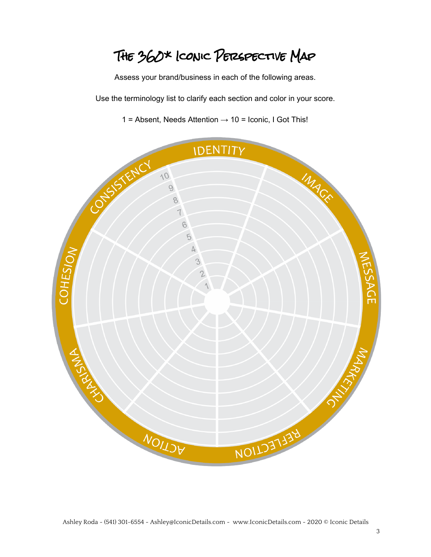The 360\* Iconic Perspective Map

Assess your brand/business in each of the following areas.

Use the terminology list to clarify each section and color in your score.

1 = Absent, Needs Attention **→** 10 = Iconic, I Got This!